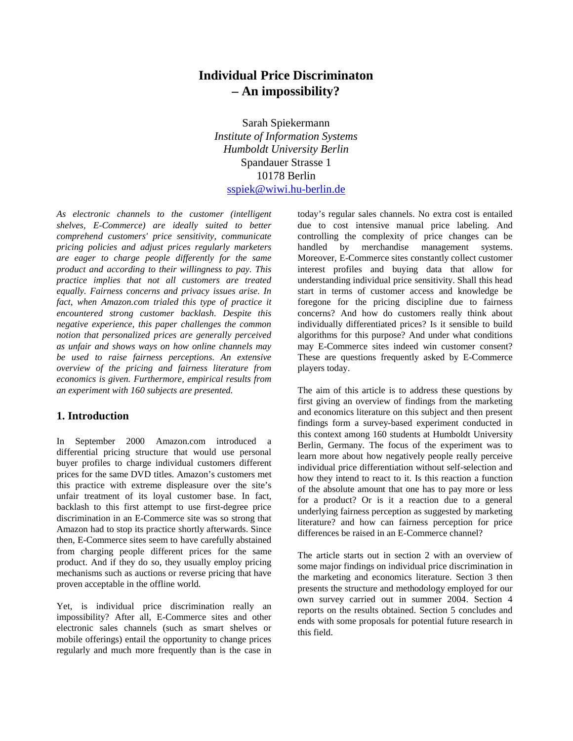# **Individual Price Discriminaton – An impossibility?**

Sarah Spiekermann *Institute of Information Systems Humboldt University Berlin* Spandauer Strasse 1 10178 Berlin sspiek@wiwi.hu-berlin.de

*As electronic channels to the customer (intelligent shelves, E-Commerce) are ideally suited to better comprehend customers' price sensitivity, communicate pricing policies and adjust prices regularly marketers are eager to charge people differently for the same product and according to their willingness to pay. This practice implies that not all customers are treated equally. Fairness concerns and privacy issues arise. In fact, when Amazon.com trialed this type of practice it encountered strong customer backlash. Despite this negative experience, this paper challenges the common notion that personalized prices are generally perceived as unfair and shows ways on how online channels may be used to raise fairness perceptions. An extensive overview of the pricing and fairness literature from economics is given. Furthermore, empirical results from an experiment with 160 subjects are presented.*

## **1. Introduction**

In September 2000 Amazon.com introduced a differential pricing structure that would use personal buyer profiles to charge individual customers different prices for the same DVD titles. Amazon's customers met this practice with extreme displeasure over the site's unfair treatment of its loyal customer base. In fact, backlash to this first attempt to use first-degree price discrimination in an E-Commerce site was so strong that Amazon had to stop its practice shortly afterwards. Since then, E-Commerce sites seem to have carefully abstained from charging people different prices for the same product. And if they do so, they usually employ pricing mechanisms such as auctions or reverse pricing that have proven acceptable in the offline world.

Yet, is individual price discrimination really an impossibility? After all, E-Commerce sites and other electronic sales channels (such as smart shelves or mobile offerings) entail the opportunity to change prices regularly and much more frequently than is the case in today's regular sales channels. No extra cost is entailed due to cost intensive manual price labeling. And controlling the complexity of price changes can be handled by merchandise management systems. Moreover, E-Commerce sites constantly collect customer interest profiles and buying data that allow for understanding individual price sensitivity. Shall this head start in terms of customer access and knowledge be foregone for the pricing discipline due to fairness concerns? And how do customers really think about individually differentiated prices? Is it sensible to build algorithms for this purpose? And under what conditions may E-Commerce sites indeed win customer consent? These are questions frequently asked by E-Commerce players today.

The aim of this article is to address these questions by first giving an overview of findings from the marketing and economics literature on this subject and then present findings form a survey-based experiment conducted in this context among 160 students at Humboldt University Berlin, Germany. The focus of the experiment was to learn more about how negatively people really perceive individual price differentiation without self-selection and how they intend to react to it. Is this reaction a function of the absolute amount that one has to pay more or less for a product? Or is it a reaction due to a general underlying fairness perception as suggested by marketing literature? and how can fairness perception for price differences be raised in an E-Commerce channel?

The article starts out in section 2 with an overview of some major findings on individual price discrimination in the marketing and economics literature. Section 3 then presents the structure and methodology employed for our own survey carried out in summer 2004. Section 4 reports on the results obtained. Section 5 concludes and ends with some proposals for potential future research in this field.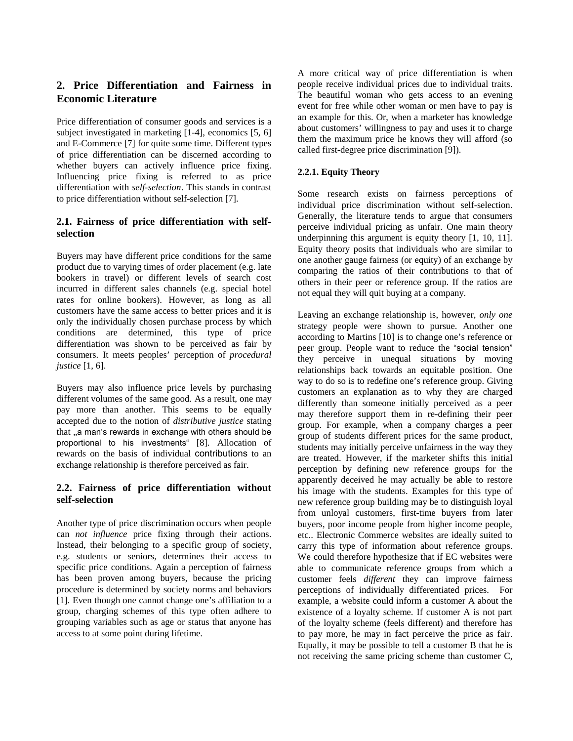## **2. Price Differentiation and Fairness in Economic Literature**

Price differentiation of consumer goods and services is a subject investigated in marketing [1-4], economics [5, 6] and E-Commerce [7] for quite some time. Different types of price differentiation can be discerned according to whether buyers can actively influence price fixing. Influencing price fixing is referred to as price differentiation with *self-selection*. This stands in contrast to price differentiation without self-selection [7].

## **2.1. Fairness of price differentiation with selfselection**

Buyers may have different price conditions for the same product due to varying times of order placement (e.g. late bookers in travel) or different levels of search cost incurred in different sales channels (e.g. special hotel rates for online bookers). However, as long as all customers have the same access to better prices and it is only the individually chosen purchase process by which conditions are determined, this type of price differentiation was shown to be perceived as fair by consumers. It meets peoples' perception of *procedural justice* [1, 6].

Buyers may also influence price levels by purchasing different volumes of the same good. As a result, one may pay more than another. This seems to be equally accepted due to the notion of *distributive justice* stating that "a man's rewards in exchange with others should be proportional to his investments" [8]. Allocation of rewards on the basis of individual contributions to an exchange relationship is therefore perceived as fair.

## **2.2. Fairness of price differentiation without self-selection**

Another type of price discrimination occurs when people can *not influence* price fixing through their actions. Instead, their belonging to a specific group of society, e.g. students or seniors, determines their access to specific price conditions. Again a perception of fairness has been proven among buyers, because the pricing procedure is determined by society norms and behaviors [1]. Even though one cannot change one's affiliation to a group, charging schemes of this type often adhere to grouping variables such as age or status that anyone has access to at some point during lifetime.

A more critical way of price differentiation is when people receive individual prices due to individual traits. The beautiful woman who gets access to an evening event for free while other woman or men have to pay is an example for this. Or, when a marketer has knowledge about customers' willingness to pay and uses it to charge them the maximum price he knows they will afford (so called first-degree price discrimination [9]).

## **2.2.1. Equity Theory**

Some research exists on fairness perceptions of individual price discrimination without self-selection. Generally, the literature tends to argue that consumers perceive individual pricing as unfair. One main theory underpinning this argument is equity theory [1, 10, 11]. Equity theory posits that individuals who are similar to one another gauge fairness (or equity) of an exchange by comparing the ratios of their contributions to that of others in their peer or reference group. If the ratios are not equal they will quit buying at a company.

Leaving an exchange relationship is, however, *only one* strategy people were shown to pursue. Another one according to Martins [10] is to change one's reference or peer group. People want to reduce the "social tension" they perceive in unequal situations by moving relationships back towards an equitable position. One way to do so is to redefine one's reference group. Giving customers an explanation as to why they are charged differently than someone initially perceived as a peer may therefore support them in re-defining their peer group. For example, when a company charges a peer group of students different prices for the same product, students may initially perceive unfairness in the way they are treated. However, if the marketer shifts this initial perception by defining new reference groups for the apparently deceived he may actually be able to restore his image with the students. Examples for this type of new reference group building may be to distinguish loyal from unloyal customers, first-time buyers from later buyers, poor income people from higher income people, etc.. Electronic Commerce websites are ideally suited to carry this type of information about reference groups. We could therefore hypothesize that if EC websites were able to communicate reference groups from which a customer feels *different* they can improve fairness perceptions of individually differentiated prices. For example, a website could inform a customer A about the existence of a loyalty scheme. If customer A is not part of the loyalty scheme (feels different) and therefore has to pay more, he may in fact perceive the price as fair. Equally, it may be possible to tell a customer B that he is not receiving the same pricing scheme than customer C,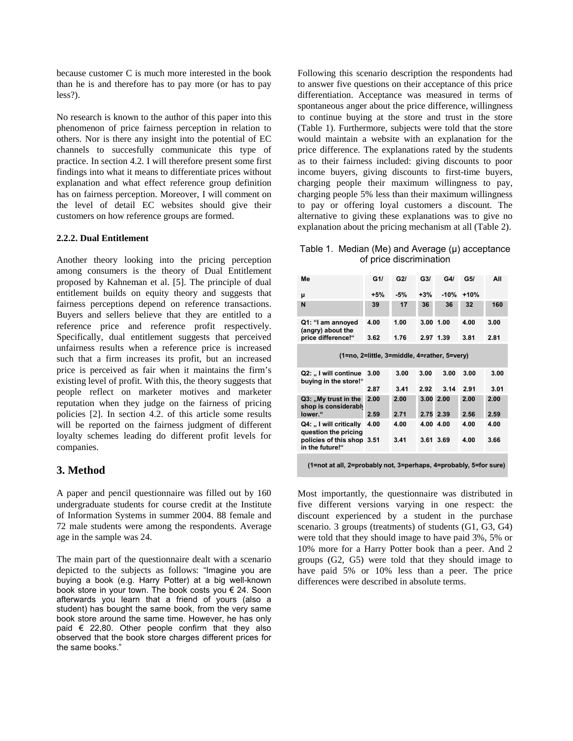because customer C is much more interested in the book than he is and therefore has to pay more (or has to pay less?).

No research is known to the author of this paper into this phenomenon of price fairness perception in relation to others. Nor is there any insight into the potential of EC channels to succesfully communicate this type of practice. In section 4.2. I will therefore present some first findings into what it means to differentiate prices without explanation and what effect reference group definition has on fairness perception. Moreover, I will comment on the level of detail EC websites should give their customers on how reference groups are formed.

#### **2.2.2. Dual Entitlement**

Another theory looking into the pricing perception among consumers is the theory of Dual Entitlement proposed by Kahneman et al. [5]. The principle of dual entitlement builds on equity theory and suggests that fairness perceptions depend on reference transactions. Buyers and sellers believe that they are entitled to a reference price and reference profit respectively. Specifically, dual entitlement suggests that perceived unfairness results when a reference price is increased such that a firm increases its profit, but an increased price is perceived as fair when it maintains the firm's existing level of profit. With this, the theory suggests that people reflect on marketer motives and marketer reputation when they judge on the fairness of pricing policies [2]. In section 4.2. of this article some results will be reported on the fairness judgment of different loyalty schemes leading do different profit levels for companies.

#### **3. Method**

A paper and pencil questionnaire was filled out by 160 undergraduate students for course credit at the Institute of Information Systems in summer 2004. 88 female and 72 male students were among the respondents. Average age in the sample was 24.

The main part of the questionnaire dealt with a scenario depicted to the subjects as follows: "Imagine you are buying a book (e.g. Harry Potter) at a big well-known book store in your town. The book costs you € 24. Soon afterwards you learn that a friend of yours (also a student) has bought the same book, from the very same book store around the same time. However, he has only paid € 22,80. Other people confirm that they also observed that the book store charges different prices for the same books."

Following this scenario description the respondents had to answer five questions on their acceptance of this price differentiation. Acceptance was measured in terms of spontaneous anger about the price difference, willingness to continue buying at the store and trust in the store (Table 1). Furthermore, subjects were told that the store would maintain a website with an explanation for the price difference. The explanations rated by the students as to their fairness included: giving discounts to poor income buyers, giving discounts to first-time buyers, charging people their maximum willingness to pay, charging people 5% less than their maximum willingness to pay or offering loyal customers a discount. The alternative to giving these explanations was to give no explanation about the pricing mechanism at all (Table 2).

Table 1. Median (Me) and Average (μ) acceptance of price discrimination

| Me                                                                                              | G1/   | G2I   | G3/   | G4I       | G5/    | All  |  |  |  |  |
|-------------------------------------------------------------------------------------------------|-------|-------|-------|-----------|--------|------|--|--|--|--|
| μ                                                                                               | $+5%$ | $-5%$ | $+3%$ | $-10%$    | $+10%$ |      |  |  |  |  |
| N                                                                                               | 39    | 17    | 36    | 36        | 32     | 160  |  |  |  |  |
| Q1: "I am annoyed<br>(angry) about the<br>price difference!"                                    | 4.00  | 1.00  |       | 3.00 1.00 | 4.00   | 3.00 |  |  |  |  |
|                                                                                                 | 3.62  | 1.76  |       | 2.97 1.39 | 3.81   | 2.81 |  |  |  |  |
| (1=no, 2=little, 3=middle, 4=rather, 5=very)                                                    |       |       |       |           |        |      |  |  |  |  |
| Q2: " I will continue<br>buying in the store!"                                                  | 3.00  | 3.00  | 3.00  | 3.00      | 3.00   | 3.00 |  |  |  |  |
|                                                                                                 | 2.87  | 3.41  | 2.92  | 3.14      | 2.91   | 3.01 |  |  |  |  |
| Q3: "My trust in the<br>shop is considerably<br>lower."                                         | 2.00  | 2.00  | 3.00  | 2.00      | 2.00   | 2.00 |  |  |  |  |
|                                                                                                 | 2.59  | 2.71  | 2.75  | 2.39      | 2.56   | 2.59 |  |  |  |  |
| Q4: "I will critically<br>question the pricing<br>policies of this shop 3.51<br>in the future!" | 4.00  | 4.00  |       | 4.00 4.00 | 4.00   | 4.00 |  |  |  |  |
|                                                                                                 |       | 3.41  |       | 3.61 3.69 | 4.00   | 3.66 |  |  |  |  |
|                                                                                                 |       |       |       |           |        |      |  |  |  |  |

**(1=not at all, 2=probably not, 3=perhaps, 4=probably, 5=for sure)**

Most importantly, the questionnaire was distributed in five different versions varying in one respect: the discount experienced by a student in the purchase scenario. 3 groups (treatments) of students (G1, G3, G4) were told that they should image to have paid 3%, 5% or 10% more for a Harry Potter book than a peer. And 2 groups (G2, G5) were told that they should image to have paid 5% or 10% less than a peer. The price differences were described in absolute terms.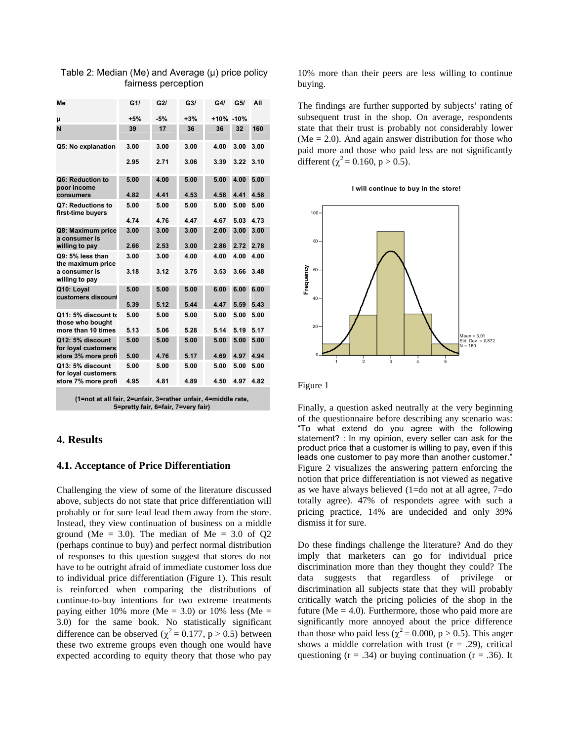| Me                                       | G1/   | G2I   | G3/   | G4/       | G5/  | All  |
|------------------------------------------|-------|-------|-------|-----------|------|------|
| μ                                        | $+5%$ | $-5%$ | $+3%$ | +10% -10% |      |      |
| N                                        | 39    | 17    | 36    | 36        | 32   | 160  |
| Q5: No explanation                       | 3.00  | 3.00  | 3.00  | 4.00      | 3.00 | 3.00 |
|                                          | 2.95  | 2.71  | 3.06  | 3.39      | 3.22 | 3.10 |
| Q6: Reduction to<br>poor income          | 5.00  | 4.00  | 5.00  | 5.00      | 4.00 | 5.00 |
| consumers                                | 4.82  | 4.41  | 4.53  | 4.58      | 4.41 | 4.58 |
| Q7: Reductions to<br>first-time buyers   | 5.00  | 5.00  | 5.00  | 5.00      | 5.00 | 5.00 |
|                                          | 4.74  | 4.76  | 4.47  | 4.67      | 5.03 | 4.73 |
| Q8: Maximum price<br>a consumer is       | 3.00  | 3.00  | 3.00  | 2.00      | 3.00 | 3.00 |
| willing to pay                           | 2.66  | 2.53  | 3.00  | 2.86      | 2.72 | 2.78 |
| Q9: 5% less than<br>the maximum price    | 3.00  | 3.00  | 4.00  | 4.00      | 4.00 | 4.00 |
| a consumer is<br>willing to pay          | 3.18  | 3.12  | 3.75  | 3.53      | 3.66 | 3.48 |
| Q10: Loyal<br>customers discount         | 5.00  | 5.00  | 5.00  | 6.00      | 6.00 | 6.00 |
|                                          | 5.39  | 5.12  | 5.44  | 4.47      | 5.59 | 5.43 |
| Q11: 5% discount to<br>those who bought  | 5.00  | 5.00  | 5.00  | 5.00      | 5.00 | 5.00 |
| more than 10 times                       | 5.13  | 5.06  | 5.28  | 5.14      | 5.19 | 5.17 |
| Q12: 5% discount<br>for loyal customers: | 5.00  | 5.00  | 5.00  | 5.00      | 5.00 | 5.00 |
| store 3% more profi                      | 5.00  | 4.76  | 5.17  | 4.69      | 4.97 | 4.94 |
| Q13: 5% discount<br>for loyal customers: | 5.00  | 5.00  | 5.00  | 5.00      | 5.00 | 5.00 |
| store 7% more profi                      | 4.95  | 4.81  | 4.89  | 4.50      | 4.97 | 4.82 |
|                                          |       |       |       |           |      |      |

#### Table 2: Median (Me) and Average (μ) price policy fairness perception

**(1=not at all fair, 2=unfair, 3=rather unfair, 4=middle rate, 5=pretty fair, 6=fair, 7=very fair)**

## **4. Results**

#### **4.1. Acceptance of Price Differentiation**

Challenging the view of some of the literature discussed above, subjects do not state that price differentiation will probably or for sure lead lead them away from the store. Instead, they view continuation of business on a middle ground (Me = 3.0). The median of Me = 3.0 of  $Q2$ (perhaps continue to buy) and perfect normal distribution of responses to this question suggest that stores do not have to be outright afraid of immediate customer loss due to individual price differentiation (Figure 1). This result is reinforced when comparing the distributions of continue-to-buy intentions for two extreme treatments paying either 10% more (Me = 3.0) or 10% less (Me = 3.0) for the same book. No statistically significant difference can be observed ( $\chi^2$  = 0.177, p > 0.5) between these two extreme groups even though one would have expected according to equity theory that those who pay

10% more than their peers are less willing to continue buying.

The findings are further supported by subjects' rating of subsequent trust in the shop. On average, respondents state that their trust is probably not considerably lower ( $Me = 2.0$ ). And again answer distribution for those who paid more and those who paid less are not significantly different ( $\chi^2$  = 0.160, p > 0.5).





Figure 1

Finally, a question asked neutrally at the very beginning of the questionnaire before describing any scenario was: "To what extend do you agree with the following statement? : In my opinion, every seller can ask for the product price that a customer is willing to pay, even if this leads one customer to pay more than another customer." Figure 2 visualizes the answering pattern enforcing the notion that price differentiation is not viewed as negative as we have always believed (1=do not at all agree, 7=do totally agree). 47% of respondets agree with such a pricing practice, 14% are undecided and only 39% dismiss it for sure.

Do these findings challenge the literature? And do they imply that marketers can go for individual price discrimination more than they thought they could? The data suggests that regardless of privilege or discrimination all subjects state that they will probably critically watch the pricing policies of the shop in the future ( $Me = 4.0$ ). Furthermore, those who paid more are significantly more annoyed about the price difference than those who paid less ( $\chi^2$  = 0.000, p > 0.5). This anger shows a middle correlation with trust  $(r = .29)$ , critical questioning  $(r = .34)$  or buying continuation  $(r = .36)$ . It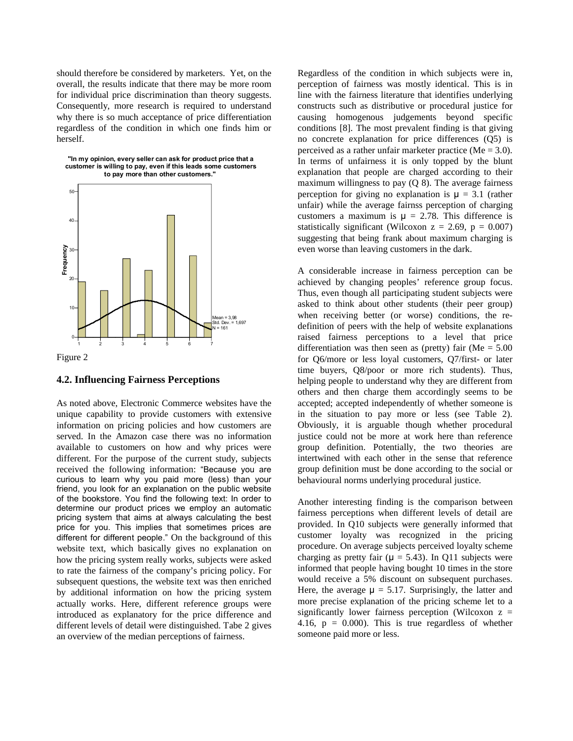should therefore be considered by marketers. Yet, on the overall, the results indicate that there may be more room for individual price discrimination than theory suggests. Consequently, more research is required to understand why there is so much acceptance of price differentiation regardless of the condition in which one finds him or herself.





#### **4.2. Influencing Fairness Perceptions**

As noted above, Electronic Commerce websites have the unique capability to provide customers with extensive information on pricing policies and how customers are served. In the Amazon case there was no information available to customers on how and why prices were different. For the purpose of the current study, subjects received the following information: "Because you are curious to learn why you paid more (less) than your friend, you look for an explanation on the public website of the bookstore. You find the following text: In order to determine our product prices we employ an automatic pricing system that aims at always calculating the best price for you. This implies that sometimes prices are different for different people." On the background of this website text, which basically gives no explanation on how the pricing system really works, subjects were asked to rate the fairness of the company's pricing policy. For subsequent questions, the website text was then enriched by additional information on how the pricing system actually works. Here, different reference groups were introduced as explanatory for the price difference and different levels of detail were distinguished. Tabe 2 gives an overview of the median perceptions of fairness.

Regardless of the condition in which subjects were in, perception of fairness was mostly identical. This is in line with the fairness literature that identifies underlying constructs such as distributive or procedural justice for causing homogenous judgements beyond specific conditions [8]. The most prevalent finding is that giving no concrete explanation for price differences (Q5) is perceived as a rather unfair marketer practice (Me = 3.0). In terms of unfairness it is only topped by the blunt explanation that people are charged according to their maximum willingness to pay  $(Q 8)$ . The average fairness perception for giving no explanation is  $\mu = 3.1$  (rather unfair) while the average fairnss perception of charging customers a maximum is  $\mu = 2.78$ . This difference is statistically significant (Wilcoxon  $z = 2.69$ ,  $p = 0.007$ ) suggesting that being frank about maximum charging is even worse than leaving customers in the dark.

A considerable increase in fairness perception can be achieved by changing peoples' reference group focus. Thus, even though all participating student subjects were asked to think about other students (their peer group) when receiving better (or worse) conditions, the redefinition of peers with the help of website explanations raised fairness perceptions to a level that price differentiation was then seen as (pretty) fair (Me  $= 5.00$ for Q6/more or less loyal customers, Q7/first- or later time buyers, Q8/poor or more rich students). Thus, helping people to understand why they are different from others and then charge them accordingly seems to be accepted; accepted independently of whether someone is in the situation to pay more or less (see Table 2). Obviously, it is arguable though whether procedural justice could not be more at work here than reference group definition. Potentially, the two theories are intertwined with each other in the sense that reference group definition must be done according to the social or behavioural norms underlying procedural justice.

Another interesting finding is the comparison between fairness perceptions when different levels of detail are provided. In Q10 subjects were generally informed that customer loyalty was recognized in the pricing procedure. On average subjects perceived loyalty scheme charging as pretty fair ( $\mu = 5.43$ ). In Q11 subjects were informed that people having bought 10 times in the store would receive a 5% discount on subsequent purchases. Here, the average  $\mu = 5.17$ . Surprisingly, the latter and more precise explanation of the pricing scheme let to a significantly lower fairness perception (Wilcoxon  $z =$ 4.16,  $p = 0.000$ . This is true regardless of whether someone paid more or less.